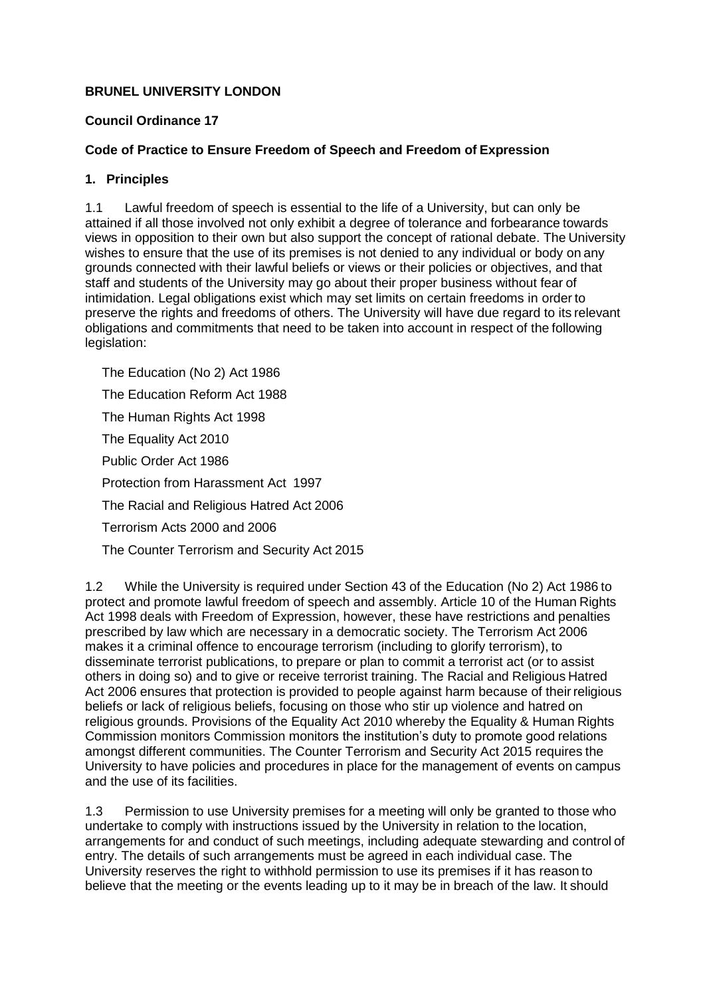## **BRUNEL UNIVERSITY LONDON**

#### **Council Ordinance 17**

## **Code of Practice to Ensure Freedom of Speech and Freedom of Expression**

#### **1. Principles**

1.1 Lawful freedom of speech is essential to the life of a University, but can only be attained if all those involved not only exhibit a degree of tolerance and forbearance towards views in opposition to their own but also support the concept of rational debate. The University wishes to ensure that the use of its premises is not denied to any individual or body on any grounds connected with their lawful beliefs or views or their policies or objectives, and that staff and students of the University may go about their proper business without fear of intimidation. Legal obligations exist which may set limits on certain freedoms in order to preserve the rights and freedoms of others. The University will have due regard to its relevant obligations and commitments that need to be taken into account in respect of the following legislation:

The Education (No 2) Act 1986 The Education Reform Act 1988 The Human Rights Act 1998 The Equality Act 2010 Public Order Act 1986 Protection from Harassment Act 1997 The Racial and Religious Hatred Act 2006 Terrorism Acts 2000 and 2006 The Counter Terrorism and Security Act 2015

1.2 While the University is required under Section 43 of the Education (No 2) Act 1986 to protect and promote lawful freedom of speech and assembly. Article 10 of the Human Rights Act 1998 deals with Freedom of Expression, however, these have restrictions and penalties prescribed by law which are necessary in a democratic society. The Terrorism Act 2006 makes it a criminal offence to encourage terrorism (including to glorify terrorism), to disseminate terrorist publications, to prepare or plan to commit a terrorist act (or to assist others in doing so) and to give or receive terrorist training. The Racial and Religious Hatred Act 2006 ensures that protection is provided to people against harm because of theirreligious beliefs or lack of religious beliefs, focusing on those who stir up violence and hatred on religious grounds. Provisions of the Equality Act 2010 whereby the Equality & Human Rights Commission monitors Commission monitors the institution's duty to promote good relations amongst different communities. The Counter Terrorism and Security Act 2015 requires the University to have policies and procedures in place for the management of events on campus and the use of its facilities.

1.3 Permission to use University premises for a meeting will only be granted to those who undertake to comply with instructions issued by the University in relation to the location, arrangements for and conduct of such meetings, including adequate stewarding and control of entry. The details of such arrangements must be agreed in each individual case. The University reserves the right to withhold permission to use its premises if it has reason to believe that the meeting or the events leading up to it may be in breach of the law. It should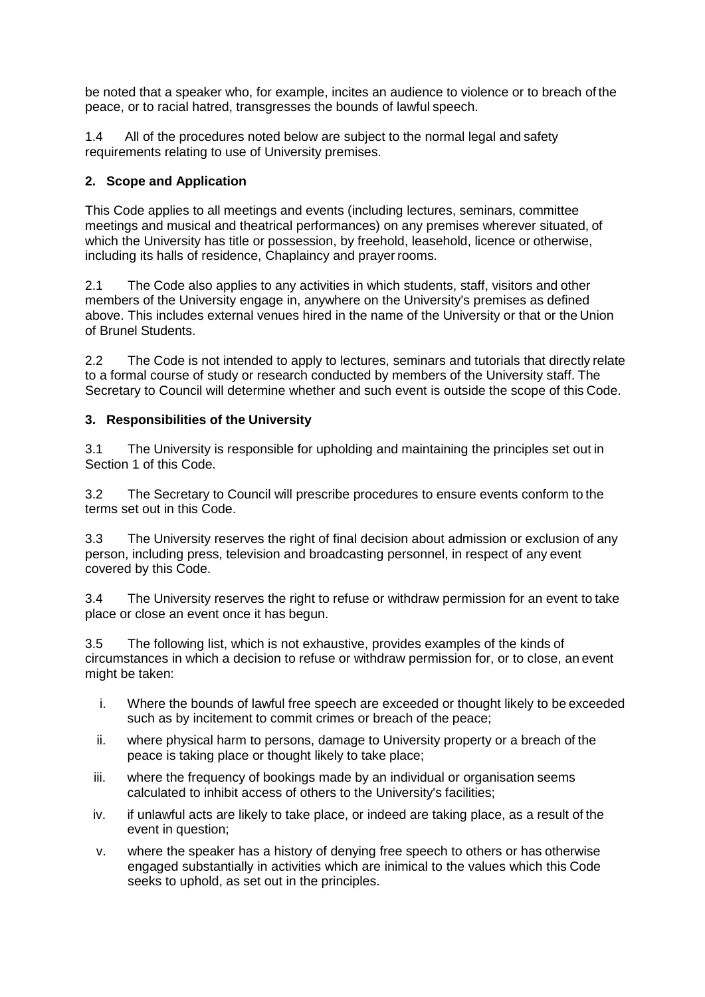be noted that a speaker who, for example, incites an audience to violence or to breach of the peace, or to racial hatred, transgresses the bounds of lawful speech.

1.4 All of the procedures noted below are subject to the normal legal and safety requirements relating to use of University premises.

# **2. Scope and Application**

This Code applies to all meetings and events (including lectures, seminars, committee meetings and musical and theatrical performances) on any premises wherever situated, of which the University has title or possession, by freehold, leasehold, licence or otherwise, including its halls of residence, Chaplaincy and prayer rooms.

2.1 The Code also applies to any activities in which students, staff, visitors and other members of the University engage in, anywhere on the University's premises as defined above. This includes external venues hired in the name of the University or that or the Union of Brunel Students.

2.2 The Code is not intended to apply to lectures, seminars and tutorials that directly relate to a formal course of study or research conducted by members of the University staff. The Secretary to Council will determine whether and such event is outside the scope of this Code.

## **3. Responsibilities of the University**

3.1 The University is responsible for upholding and maintaining the principles set out in Section 1 of this Code.

3.2 The Secretary to Council will prescribe procedures to ensure events conform to the terms set out in this Code.

3.3 The University reserves the right of final decision about admission or exclusion of any person, including press, television and broadcasting personnel, in respect of any event covered by this Code.

3.4 The University reserves the right to refuse or withdraw permission for an event to take place or close an event once it has begun.

3.5 The following list, which is not exhaustive, provides examples of the kinds of circumstances in which a decision to refuse or withdraw permission for, or to close, an event might be taken:

- i. Where the bounds of lawful free speech are exceeded or thought likely to be exceeded such as by incitement to commit crimes or breach of the peace;
- ii. where physical harm to persons, damage to University property or a breach of the peace is taking place or thought likely to take place;
- iii. where the frequency of bookings made by an individual or organisation seems calculated to inhibit access of others to the University's facilities;
- iv. if unlawful acts are likely to take place, or indeed are taking place, as a result of the event in question;
- v. where the speaker has a history of denying free speech to others or has otherwise engaged substantially in activities which are inimical to the values which this Code seeks to uphold, as set out in the principles.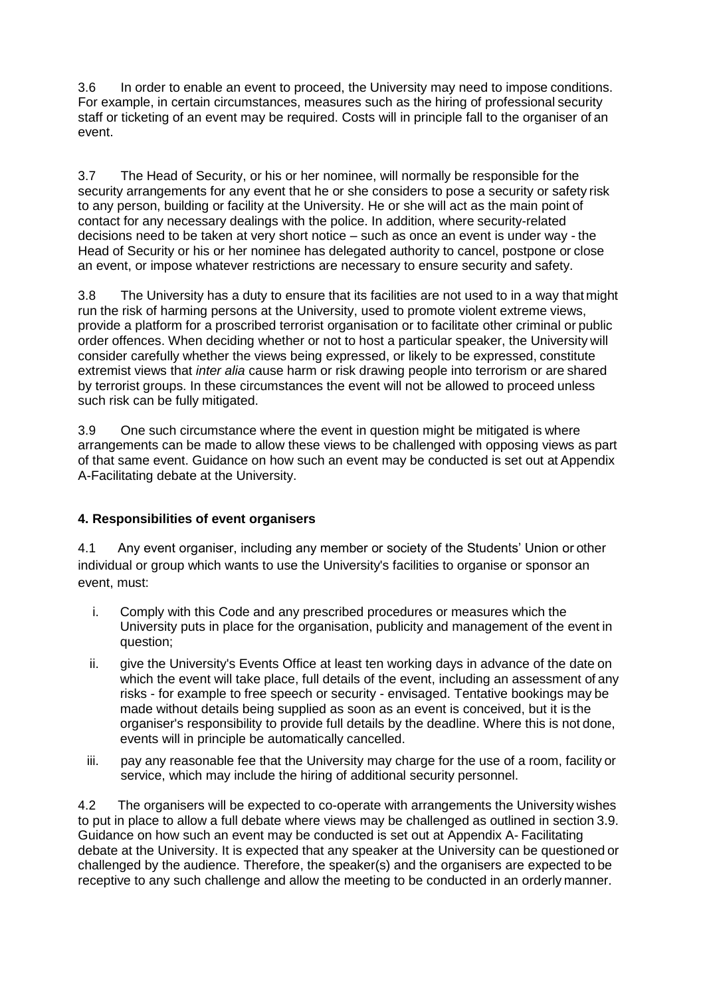3.6 In order to enable an event to proceed, the University may need to impose conditions. For example, in certain circumstances, measures such as the hiring of professional security staff or ticketing of an event may be required. Costs will in principle fall to the organiser of an event.

3.7 The Head of Security, or his or her nominee, will normally be responsible for the security arrangements for any event that he or she considers to pose a security or safety risk to any person, building or facility at the University. He or she will act as the main point of contact for any necessary dealings with the police. In addition, where security-related decisions need to be taken at very short notice – such as once an event is under way - the Head of Security or his or her nominee has delegated authority to cancel, postpone or close an event, or impose whatever restrictions are necessary to ensure security and safety.

3.8 The University has a duty to ensure that its facilities are not used to in a way that might run the risk of harming persons at the University, used to promote violent extreme views, provide a platform for a proscribed terrorist organisation or to facilitate other criminal or public order offences. When deciding whether or not to host a particular speaker, the University will consider carefully whether the views being expressed, or likely to be expressed, constitute extremist views that *inter alia* cause harm or risk drawing people into terrorism or are shared by terrorist groups. In these circumstances the event will not be allowed to proceed unless such risk can be fully mitigated.

3.9 One such circumstance where the event in question might be mitigated is where arrangements can be made to allow these views to be challenged with opposing views as part of that same event. Guidance on how such an event may be conducted is set out at Appendix A-Facilitating debate at the University.

# **4. Responsibilities of event organisers**

4.1 Any event organiser, including any member or society of the Students' Union or other individual or group which wants to use the University's facilities to organise or sponsor an event, must:

- i. Comply with this Code and any prescribed procedures or measures which the University puts in place for the organisation, publicity and management of the event in question;
- ii. give the University's Events Office at least ten working days in advance of the date on which the event will take place, full details of the event, including an assessment of any risks - for example to free speech or security - envisaged. Tentative bookings may be made without details being supplied as soon as an event is conceived, but it is the organiser's responsibility to provide full details by the deadline. Where this is not done, events will in principle be automatically cancelled.
- iii. pay any reasonable fee that the University may charge for the use of a room, facility or service, which may include the hiring of additional security personnel.

4.2 The organisers will be expected to co-operate with arrangements the University wishes to put in place to allow a full debate where views may be challenged as outlined in section 3.9. Guidance on how such an event may be conducted is set out at Appendix A- Facilitating debate at the University. It is expected that any speaker at the University can be questioned or challenged by the audience. Therefore, the speaker(s) and the organisers are expected to be receptive to any such challenge and allow the meeting to be conducted in an orderly manner.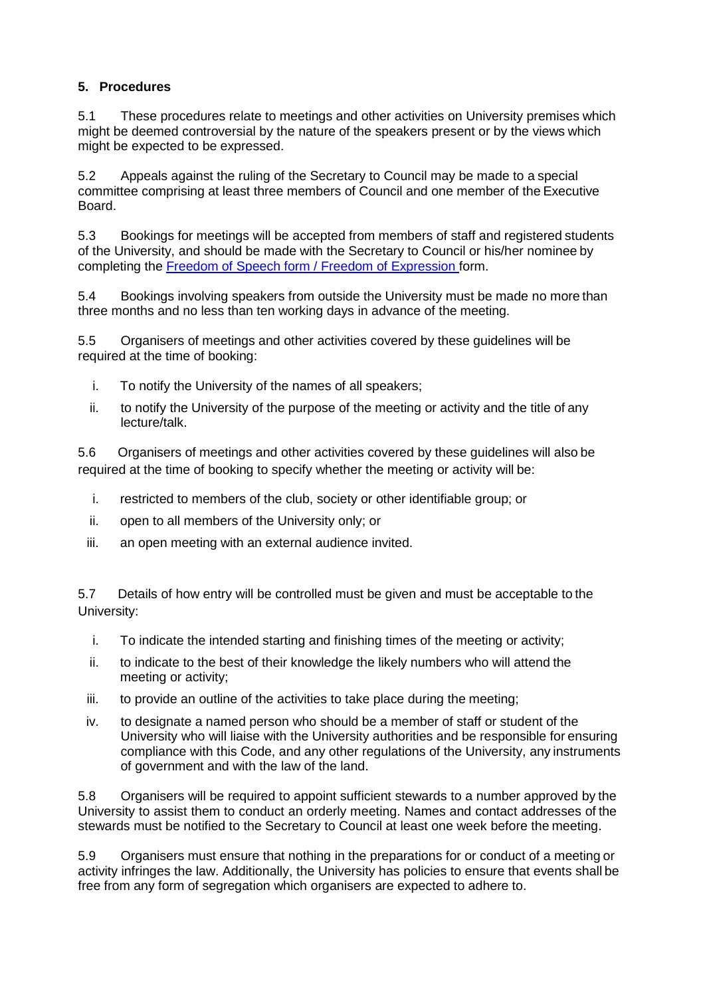# **5. Procedures**

5.1 These procedures relate to meetings and other activities on University premises which might be deemed controversial by the nature of the speakers present or by the views which might be expected to be expressed.

5.2 Appeals against the ruling of the Secretary to Council may be made to a special committee comprising at least three members of Council and one member of the Executive Board.

5.3 Bookings for meetings will be accepted from members of staff and registered students of the University, and should be made with the Secretary to Council or his/her nominee by completing the [Freedom of Speech form / Freedom of Expression](http://www.brunel.ac.uk/about/documents/docs/Freedom-of-Speech-Form-April-2019.docx) form.

5.4 Bookings involving speakers from outside the University must be made no more than three months and no less than ten working days in advance of the meeting.

5.5 Organisers of meetings and other activities covered by these guidelines will be required at the time of booking:

- i. To notify the University of the names of all speakers;
- ii. to notify the University of the purpose of the meeting or activity and the title of any lecture/talk.

5.6 Organisers of meetings and other activities covered by these guidelines will also be required at the time of booking to specify whether the meeting or activity will be:

- i. restricted to members of the club, society or other identifiable group; or
- ii. open to all members of the University only; or
- iii. an open meeting with an external audience invited.

5.7 Details of how entry will be controlled must be given and must be acceptable to the University:

- i. To indicate the intended starting and finishing times of the meeting or activity;
- ii. to indicate to the best of their knowledge the likely numbers who will attend the meeting or activity;
- iii. to provide an outline of the activities to take place during the meeting;
- iv. to designate a named person who should be a member of staff or student of the University who will liaise with the University authorities and be responsible for ensuring compliance with this Code, and any other regulations of the University, any instruments of government and with the law of the land.

5.8 Organisers will be required to appoint sufficient stewards to a number approved by the University to assist them to conduct an orderly meeting. Names and contact addresses of the stewards must be notified to the Secretary to Council at least one week before the meeting.

5.9 Organisers must ensure that nothing in the preparations for or conduct of a meeting or activity infringes the law. Additionally, the University has policies to ensure that events shall be free from any form of segregation which organisers are expected to adhere to.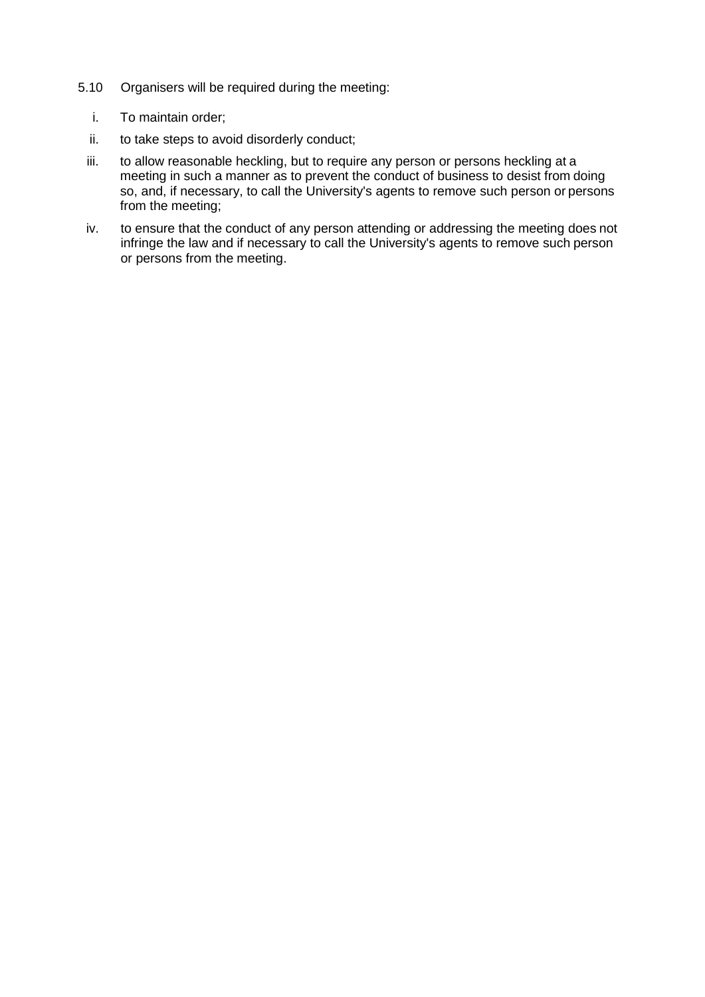- 5.10 Organisers will be required during the meeting:
	- i. To maintain order;
	- ii. to take steps to avoid disorderly conduct;
	- iii. to allow reasonable heckling, but to require any person or persons heckling at a meeting in such a manner as to prevent the conduct of business to desist from doing so, and, if necessary, to call the University's agents to remove such person or persons from the meeting;
	- iv. to ensure that the conduct of any person attending or addressing the meeting does not infringe the law and if necessary to call the University's agents to remove such person or persons from the meeting.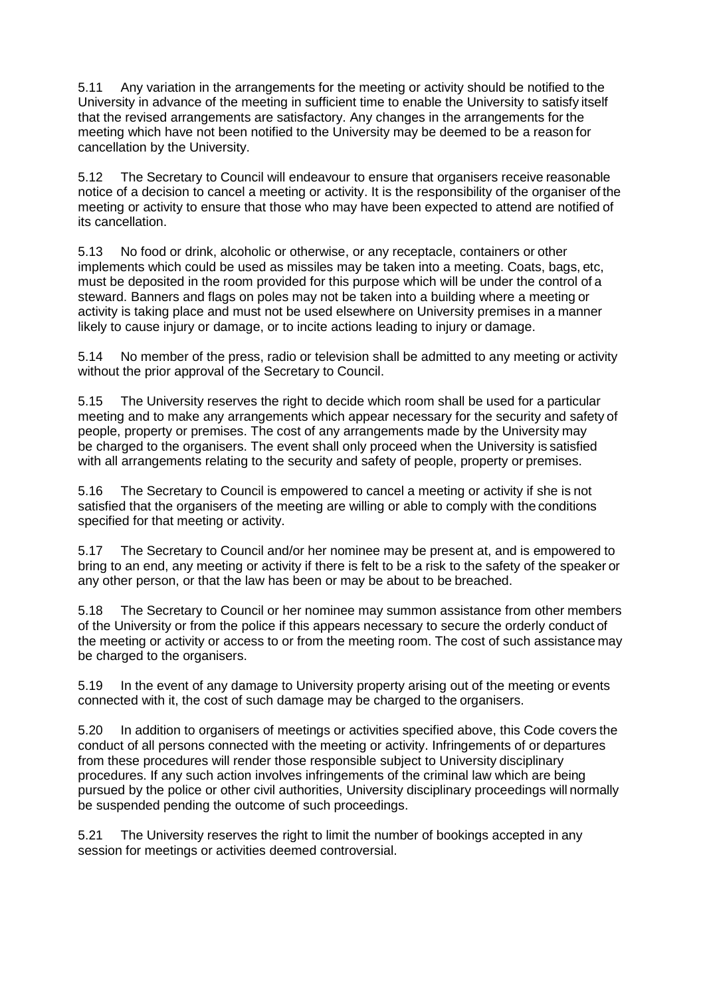5.11 Any variation in the arrangements for the meeting or activity should be notified to the University in advance of the meeting in sufficient time to enable the University to satisfy itself that the revised arrangements are satisfactory. Any changes in the arrangements for the meeting which have not been notified to the University may be deemed to be a reason for cancellation by the University.

5.12 The Secretary to Council will endeavour to ensure that organisers receive reasonable notice of a decision to cancel a meeting or activity. It is the responsibility of the organiser of the meeting or activity to ensure that those who may have been expected to attend are notified of its cancellation.

5.13 No food or drink, alcoholic or otherwise, or any receptacle, containers or other implements which could be used as missiles may be taken into a meeting. Coats, bags, etc, must be deposited in the room provided for this purpose which will be under the control of a steward. Banners and flags on poles may not be taken into a building where a meeting or activity is taking place and must not be used elsewhere on University premises in a manner likely to cause injury or damage, or to incite actions leading to injury or damage.

5.14 No member of the press, radio or television shall be admitted to any meeting or activity without the prior approval of the Secretary to Council.

5.15 The University reserves the right to decide which room shall be used for a particular meeting and to make any arrangements which appear necessary for the security and safety of people, property or premises. The cost of any arrangements made by the University may be charged to the organisers. The event shall only proceed when the University is satisfied with all arrangements relating to the security and safety of people, property or premises.

5.16 The Secretary to Council is empowered to cancel a meeting or activity if she is not satisfied that the organisers of the meeting are willing or able to comply with the conditions specified for that meeting or activity.

5.17 The Secretary to Council and/or her nominee may be present at, and is empowered to bring to an end, any meeting or activity if there is felt to be a risk to the safety of the speaker or any other person, or that the law has been or may be about to be breached.

5.18 The Secretary to Council or her nominee may summon assistance from other members of the University or from the police if this appears necessary to secure the orderly conduct of the meeting or activity or access to or from the meeting room. The cost of such assistance may be charged to the organisers.

5.19 In the event of any damage to University property arising out of the meeting or events connected with it, the cost of such damage may be charged to the organisers.

5.20 In addition to organisers of meetings or activities specified above, this Code covers the conduct of all persons connected with the meeting or activity. Infringements of or departures from these procedures will render those responsible subject to University disciplinary procedures. If any such action involves infringements of the criminal law which are being pursued by the police or other civil authorities, University disciplinary proceedings will normally be suspended pending the outcome of such proceedings.

5.21 The University reserves the right to limit the number of bookings accepted in any session for meetings or activities deemed controversial.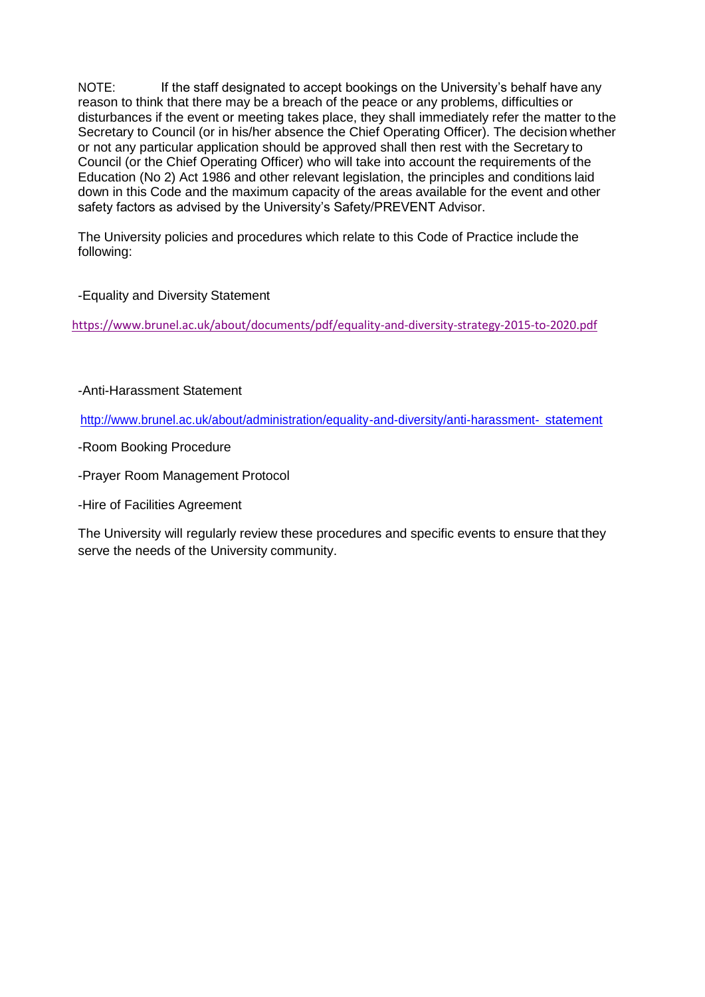NOTE: If the staff designated to accept bookings on the University's behalf have any reason to think that there may be a breach of the peace or any problems, difficulties or disturbances if the event or meeting takes place, they shall immediately refer the matter to the Secretary to Council (or in his/her absence the Chief Operating Officer). The decision whether or not any particular application should be approved shall then rest with the Secretary to Council (or the Chief Operating Officer) who will take into account the requirements of the Education (No 2) Act 1986 and other relevant legislation, the principles and conditions laid down in this Code and the maximum capacity of the areas available for the event and other safety factors as advised by the University's Safety/PREVENT Advisor.

The University policies and procedures which relate to this Code of Practice include the following:

## -Equality and Diversity Statement

<https://www.brunel.ac.uk/about/documents/pdf/equality-and-diversity-strategy-2015-to-2020.pdf>

#### -Anti-Harassment Statement

[http://www.brunel.ac.uk/about/administration/equality-and-diversity/anti-harassment-](http://www.brunel.ac.uk/about/administration/equality-and-diversity/anti-harassment-statement) [statement](http://www.brunel.ac.uk/about/administration/equality-and-diversity/anti-harassment-statement)

- -Room Booking Procedure
- -Prayer Room Management Protocol
- -Hire of Facilities Agreement

The University will regularly review these procedures and specific events to ensure that they serve the needs of the University community.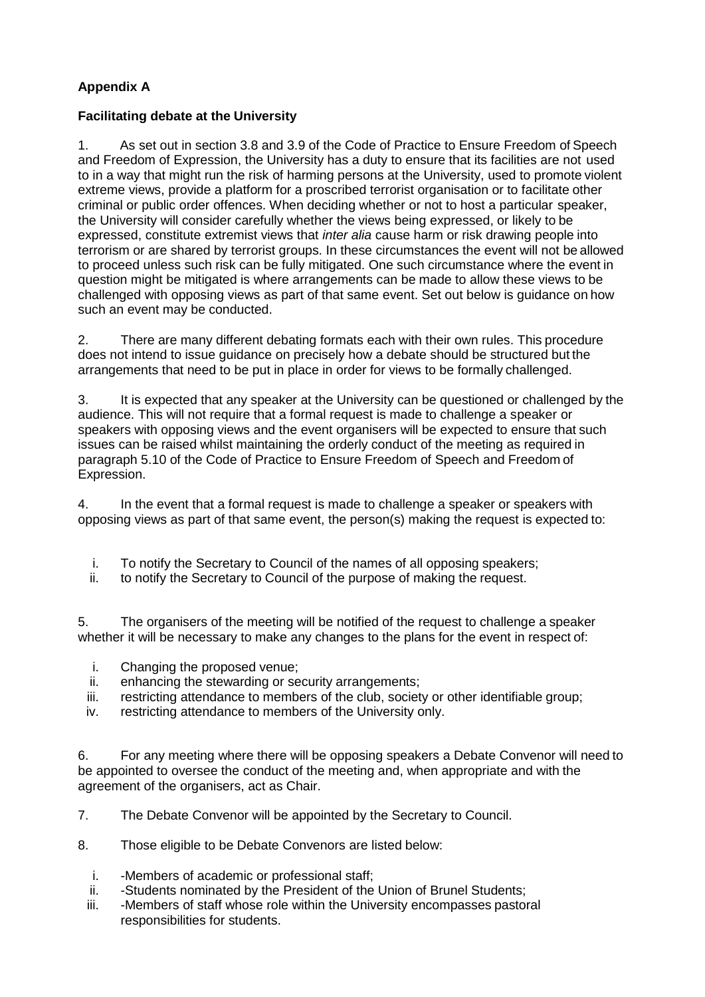# **Appendix A**

# **Facilitating debate at the University**

1. As set out in section 3.8 and 3.9 of the Code of Practice to Ensure Freedom of Speech and Freedom of Expression, the University has a duty to ensure that its facilities are not used to in a way that might run the risk of harming persons at the University, used to promote violent extreme views, provide a platform for a proscribed terrorist organisation or to facilitate other criminal or public order offences. When deciding whether or not to host a particular speaker, the University will consider carefully whether the views being expressed, or likely to be expressed, constitute extremist views that *inter alia* cause harm or risk drawing people into terrorism or are shared by terrorist groups. In these circumstances the event will not be allowed to proceed unless such risk can be fully mitigated. One such circumstance where the event in question might be mitigated is where arrangements can be made to allow these views to be challenged with opposing views as part of that same event. Set out below is guidance on how such an event may be conducted.

2. There are many different debating formats each with their own rules. This procedure does not intend to issue guidance on precisely how a debate should be structured but the arrangements that need to be put in place in order for views to be formally challenged.

3. It is expected that any speaker at the University can be questioned or challenged by the audience. This will not require that a formal request is made to challenge a speaker or speakers with opposing views and the event organisers will be expected to ensure that such issues can be raised whilst maintaining the orderly conduct of the meeting as required in paragraph 5.10 of the Code of Practice to Ensure Freedom of Speech and Freedom of Expression.

4. In the event that a formal request is made to challenge a speaker or speakers with opposing views as part of that same event, the person(s) making the request is expected to:

- i. To notify the Secretary to Council of the names of all opposing speakers;
- ii. to notify the Secretary to Council of the purpose of making the request.

5. The organisers of the meeting will be notified of the request to challenge a speaker whether it will be necessary to make any changes to the plans for the event in respect of:

- i. Changing the proposed venue;
- ii. enhancing the stewarding or security arrangements;
- iii. restricting attendance to members of the club, society or other identifiable group;
- iv. restricting attendance to members of the University only.

6. For any meeting where there will be opposing speakers a Debate Convenor will need to be appointed to oversee the conduct of the meeting and, when appropriate and with the agreement of the organisers, act as Chair.

7. The Debate Convenor will be appointed by the Secretary to Council.

- 8. Those eligible to be Debate Convenors are listed below:
	- i. -Members of academic or professional staff;
	- ii. -Students nominated by the President of the Union of Brunel Students;
	- iii. -Members of staff whose role within the University encompasses pastoral responsibilities for students.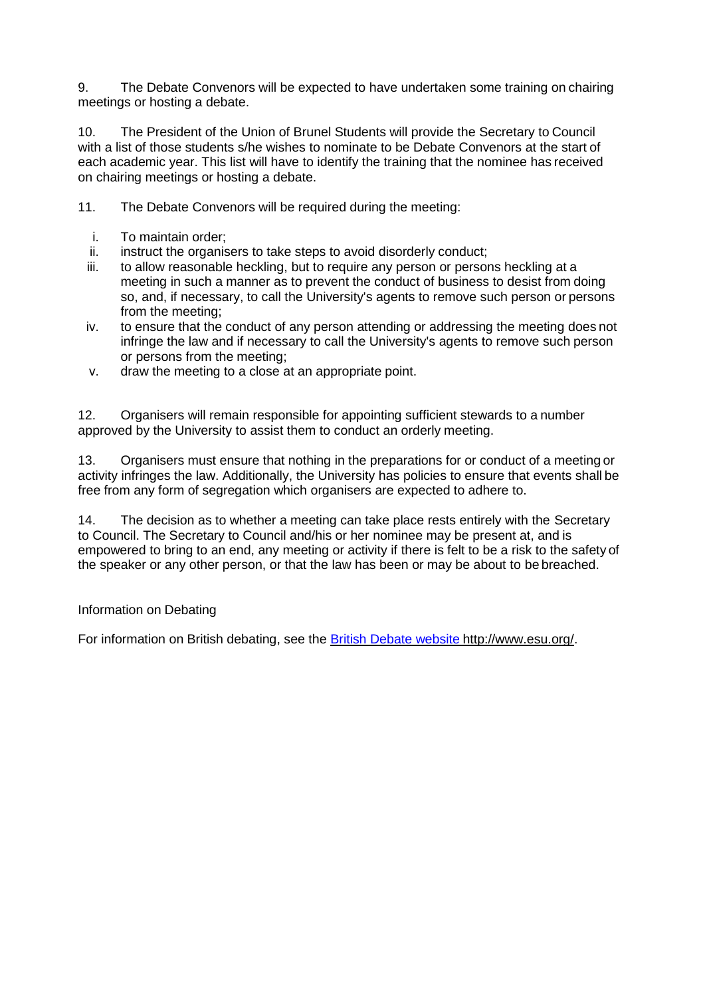9. The Debate Convenors will be expected to have undertaken some training on chairing meetings or hosting a debate.

10. The President of the Union of Brunel Students will provide the Secretary to Council with a list of those students s/he wishes to nominate to be Debate Convenors at the start of each academic year. This list will have to identify the training that the nominee has received on chairing meetings or hosting a debate.

- 11. The Debate Convenors will be required during the meeting:
	- i. To maintain order;
	- ii. instruct the organisers to take steps to avoid disorderly conduct;
	- iii. to allow reasonable heckling, but to require any person or persons heckling at a meeting in such a manner as to prevent the conduct of business to desist from doing so, and, if necessary, to call the University's agents to remove such person or persons from the meeting;
	- iv. to ensure that the conduct of any person attending or addressing the meeting does not infringe the law and if necessary to call the University's agents to remove such person or persons from the meeting;
	- v. draw the meeting to a close at an appropriate point.

12. Organisers will remain responsible for appointing sufficient stewards to a number approved by the University to assist them to conduct an orderly meeting.

13. Organisers must ensure that nothing in the preparations for or conduct of a meeting or activity infringes the law. Additionally, the University has policies to ensure that events shall be free from any form of segregation which organisers are expected to adhere to.

14. The decision as to whether a meeting can take place rests entirely with the Secretary to Council. The Secretary to Council and/his or her nominee may be present at, and is empowered to bring to an end, any meeting or activity if there is felt to be a risk to the safety of the speaker or any other person, or that the law has been or may be about to be breached.

#### Information on Debating

For information on British debating, see the [British Debate website](http://www.britishdebate.com/) [http://www.esu.org/.](http://www.esu.org/)